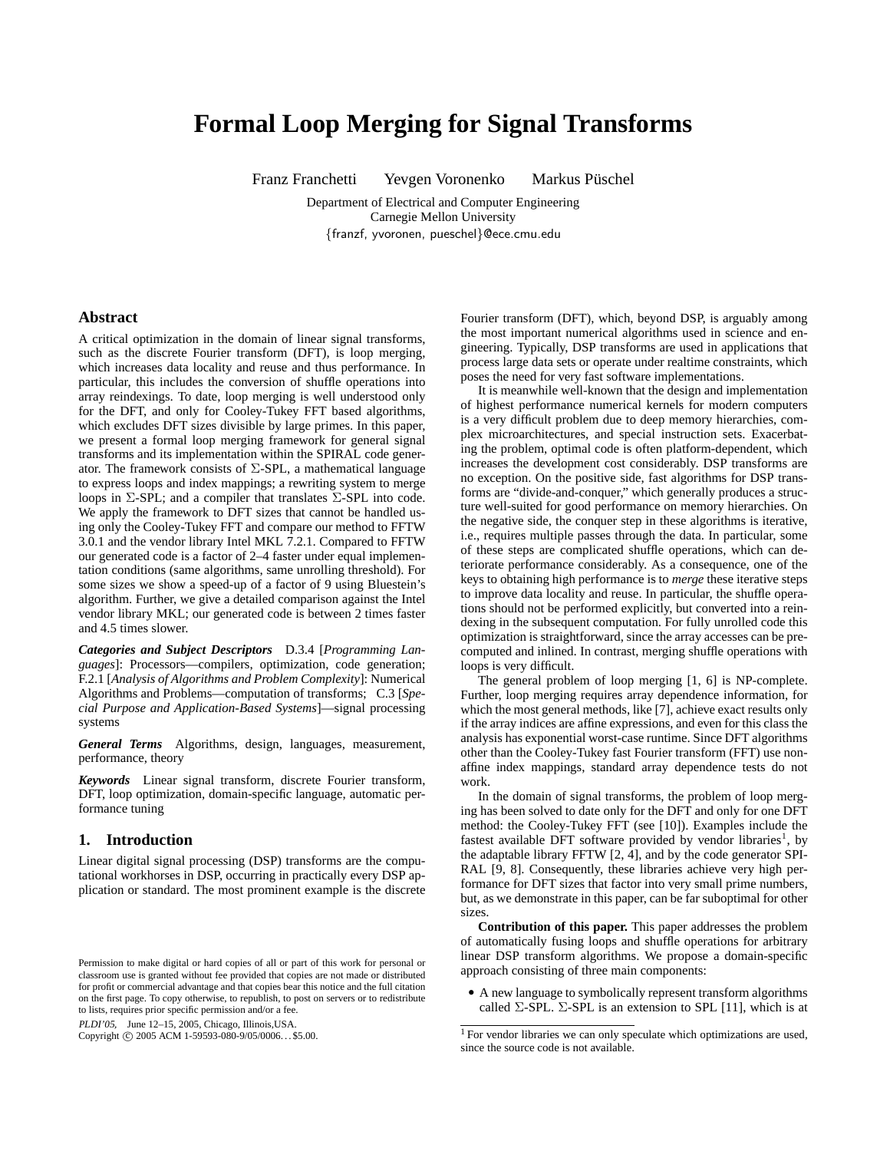# **Formal Loop Merging for Signal Transforms**

Franz Franchetti i Yevgen Voronenko Markus Püschel

Department of Electrical and Computer Engineering Carnegie Mellon University {franzf, yvoronen, pueschel}@ece.cmu.edu

#### **Abstract**

A critical optimization in the domain of linear signal transforms, such as the discrete Fourier transform (DFT), is loop merging, which increases data locality and reuse and thus performance. In particular, this includes the conversion of shuffle operations into array reindexings. To date, loop merging is well understood only for the DFT, and only for Cooley-Tukey FFT based algorithms, which excludes DFT sizes divisible by large primes. In this paper, we present a formal loop merging framework for general signal transforms and its implementation within the SPIRAL code generator. The framework consists of  $\Sigma$ -SPL, a mathematical language to express loops and index mappings; a rewriting system to merge loops in  $\Sigma$ -SPL; and a compiler that translates  $\Sigma$ -SPL into code. We apply the framework to DFT sizes that cannot be handled using only the Cooley-Tukey FFT and compare our method to FFTW 3.0.1 and the vendor library Intel MKL 7.2.1. Compared to FFTW our generated code is a factor of 2–4 faster under equal implementation conditions (same algorithms, same unrolling threshold). For some sizes we show a speed-up of a factor of 9 using Bluestein's algorithm. Further, we give a detailed comparison against the Intel vendor library MKL; our generated code is between 2 times faster and 4.5 times slower.

*Categories and Subject Descriptors* D.3.4 [*Programming Languages*]: Processors—compilers, optimization, code generation; F.2.1 [*Analysis of Algorithms and Problem Complexity*]: Numerical Algorithms and Problems—computation of transforms; C.3 [*Special Purpose and Application-Based Systems*]—signal processing systems

*General Terms* Algorithms, design, languages, measurement, performance, theory

*Keywords* Linear signal transform, discrete Fourier transform, DFT, loop optimization, domain-specific language, automatic performance tuning

# **1. Introduction**

Linear digital signal processing (DSP) transforms are the computational workhorses in DSP, occurring in practically every DSP application or standard. The most prominent example is the discrete

PLDI'05, June 12–15, 2005, Chicago, Illinois,USA.

Copyright © 2005 ACM 1-59593-080-9/05/0006... \$5.00.

Fourier transform (DFT), which, beyond DSP, is arguably among the most important numerical algorithms used in science and engineering. Typically, DSP transforms are used in applications that process large data sets or operate under realtime constraints, which poses the need for very fast software implementations.

It is meanwhile well-known that the design and implementation of highest performance numerical kernels for modern computers is a very difficult problem due to deep memory hierarchies, complex microarchitectures, and special instruction sets. Exacerbating the problem, optimal code is often platform-dependent, which increases the development cost considerably. DSP transforms are no exception. On the positive side, fast algorithms for DSP transforms are "divide-and-conquer," which generally produces a structure well-suited for good performance on memory hierarchies. On the negative side, the conquer step in these algorithms is iterative, i.e., requires multiple passes through the data. In particular, some of these steps are complicated shuffle operations, which can deteriorate performance considerably. As a consequence, one of the keys to obtaining high performance is to *merge* these iterative steps to improve data locality and reuse. In particular, the shuffle operations should not be performed explicitly, but converted into a reindexing in the subsequent computation. For fully unrolled code this optimization is straightforward, since the array accesses can be precomputed and inlined. In contrast, merging shuffle operations with loops is very difficult.

The general problem of loop merging [1, 6] is NP-complete. Further, loop merging requires array dependence information, for which the most general methods, like [7], achieve exact results only if the array indices are affine expressions, and even for this class the analysis has exponential worst-case runtime. Since DFT algorithms other than the Cooley-Tukey fast Fourier transform (FFT) use nonaffine index mappings, standard array dependence tests do not work.

In the domain of signal transforms, the problem of loop merging has been solved to date only for the DFT and only for one DFT method: the Cooley-Tukey FFT (see [10]). Examples include the fastest available DFT software provided by vendor libraries<sup>1</sup>, by the adaptable library FFTW [2, 4], and by the code generator SPI-RAL [9, 8]. Consequently, these libraries achieve very high performance for DFT sizes that factor into very small prime numbers, but, as we demonstrate in this paper, can be far suboptimal for other sizes.

**Contribution of this paper.** This paper addresses the problem of automatically fusing loops and shuffle operations for arbitrary linear DSP transform algorithms. We propose a domain-specific approach consisting of three main components:

• A new language to symbolically represent transform algorithms called  $\Sigma$ -SPL.  $\Sigma$ -SPL is an extension to SPL [11], which is at

Permission to make digital or hard copies of all or part of this work for personal or classroom use is granted without fee provided that copies are not made or distributed for profit or commercial advantage and that copies bear this notice and the full citation on the first page. To copy otherwise, to republish, to post on servers or to redistribute to lists, requires prior specific permission and/or a fee.

<sup>&</sup>lt;sup>1</sup> For vendor libraries we can only speculate which optimizations are used, since the source code is not available.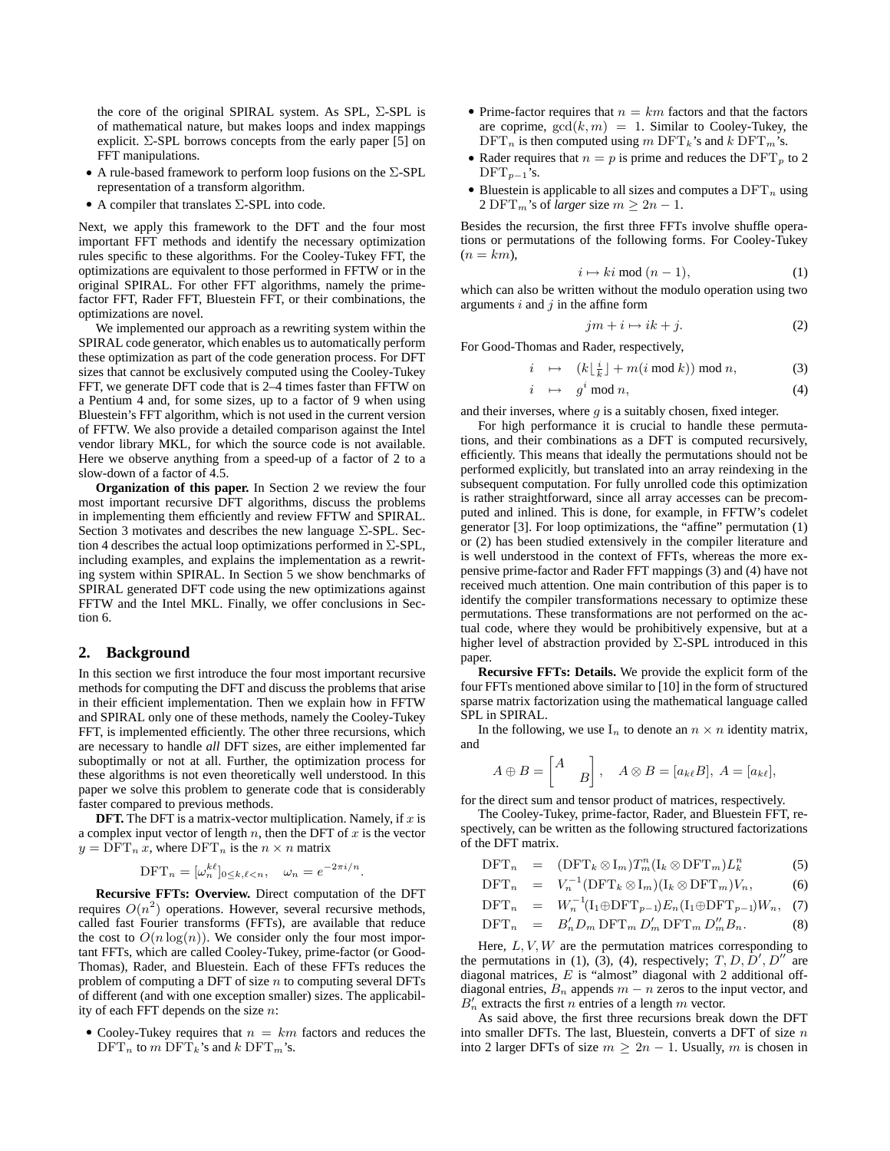the core of the original SPIRAL system. As SPL, Σ-SPL is of mathematical nature, but makes loops and index mappings explicit.  $\Sigma$ -SPL borrows concepts from the early paper [5] on FFT manipulations.

- A rule-based framework to perform loop fusions on the  $\Sigma$ -SPL representation of a transform algorithm.
- A compiler that translates  $\Sigma$ -SPL into code.

Next, we apply this framework to the DFT and the four most important FFT methods and identify the necessary optimization rules specific to these algorithms. For the Cooley-Tukey FFT, the optimizations are equivalent to those performed in FFTW or in the original SPIRAL. For other FFT algorithms, namely the primefactor FFT, Rader FFT, Bluestein FFT, or their combinations, the optimizations are novel.

We implemented our approach as a rewriting system within the SPIRAL code generator, which enables us to automatically perform these optimization as part of the code generation process. For DFT sizes that cannot be exclusively computed using the Cooley-Tukey FFT, we generate DFT code that is 2–4 times faster than FFTW on a Pentium 4 and, for some sizes, up to a factor of 9 when using Bluestein's FFT algorithm, which is not used in the current version of FFTW. We also provide a detailed comparison against the Intel vendor library MKL, for which the source code is not available. Here we observe anything from a speed-up of a factor of 2 to a slow-down of a factor of 4.5.

**Organization of this paper.** In Section 2 we review the four most important recursive DFT algorithms, discuss the problems in implementing them efficiently and review FFTW and SPIRAL. Section 3 motivates and describes the new language Σ-SPL. Section 4 describes the actual loop optimizations performed in  $\Sigma$ -SPL, including examples, and explains the implementation as a rewriting system within SPIRAL. In Section 5 we show benchmarks of SPIRAL generated DFT code using the new optimizations against FFTW and the Intel MKL. Finally, we offer conclusions in Section 6.

# **2. Background**

In this section we first introduce the four most important recursive methods for computing the DFT and discuss the problems that arise in their efficient implementation. Then we explain how in FFTW and SPIRAL only one of these methods, namely the Cooley-Tukey FFT, is implemented efficiently. The other three recursions, which are necessary to handle *all* DFT sizes, are either implemented far suboptimally or not at all. Further, the optimization process for these algorithms is not even theoretically well understood. In this paper we solve this problem to generate code that is considerably faster compared to previous methods.

**DFT.** The DFT is a matrix-vector multiplication. Namely, if  $x$  is a complex input vector of length  $n$ , then the DFT of  $x$  is the vector  $y = DFT_n x$ , where  $DFT_n$  is the  $n \times n$  matrix

$$
\text{DFT}_n = [\omega_n^{k\ell}]_{0 \le k,\ell < n}, \quad \omega_n = e^{-2\pi i/n}.
$$

**Recursive FFTs: Overview.** Direct computation of the DFT requires  $O(n^2)$  operations. However, several recursive methods, called fast Fourier transforms (FFTs), are available that reduce the cost to  $O(n \log(n))$ . We consider only the four most important FFTs, which are called Cooley-Tukey, prime-factor (or Good-Thomas), Rader, and Bluestein. Each of these FFTs reduces the problem of computing a DFT of size  $n$  to computing several DFTs of different (and with one exception smaller) sizes. The applicability of each FFT depends on the size  $n$ :

• Cooley-Tukey requires that  $n = km$  factors and reduces the  $\text{DFT}_n$  to m  $\text{DFT}_k$ 's and k  $\text{DFT}_m$ 's.

- Prime-factor requires that  $n = km$  factors and that the factors are coprime,  $gcd(k, m) = 1$ . Similar to Cooley-Tukey, the  $\text{DFT}_n$  is then computed using m  $\text{DFT}_k$ 's and k  $\text{DFT}_m$ 's.
- Rader requires that  $n = p$  is prime and reduces the DFT<sub>p</sub> to 2  $\text{DFT}_{p-1}$ 's.
- Bluestein is applicable to all sizes and computes a  $\text{DFT}_n$  using 2 DFT<sub>m</sub>'s of *larger* size  $m \ge 2n - 1$ .

Besides the recursion, the first three FFTs involve shuffle operations or permutations of the following forms. For Cooley-Tukey  $(n = km)$ ,

$$
i \mapsto ki \bmod (n-1), \tag{1}
$$

which can also be written without the modulo operation using two arguments  $i$  and  $j$  in the affine form

$$
jm + i \mapsto ik + j. \tag{2}
$$

For Good-Thomas and Rader, respectively,

$$
i \mapsto (k\lfloor \frac{i}{k} \rfloor + m(i \bmod k)) \bmod n, \tag{3}
$$

$$
i \mapsto g^i \bmod n,\tag{4}
$$

and their inverses, where  $q$  is a suitably chosen, fixed integer.

For high performance it is crucial to handle these permutations, and their combinations as a DFT is computed recursively, efficiently. This means that ideally the permutations should not be performed explicitly, but translated into an array reindexing in the subsequent computation. For fully unrolled code this optimization is rather straightforward, since all array accesses can be precomputed and inlined. This is done, for example, in FFTW's codelet generator [3]. For loop optimizations, the "affine" permutation (1) or (2) has been studied extensively in the compiler literature and is well understood in the context of FFTs, whereas the more expensive prime-factor and Rader FFT mappings (3) and (4) have not received much attention. One main contribution of this paper is to identify the compiler transformations necessary to optimize these permutations. These transformations are not performed on the actual code, where they would be prohibitively expensive, but at a higher level of abstraction provided by Σ-SPL introduced in this paper.

**Recursive FFTs: Details.** We provide the explicit form of the four FFTs mentioned above similar to [10] in the form of structured sparse matrix factorization using the mathematical language called SPL in SPIRAL.

In the following, we use  $I_n$  to denote an  $n \times n$  identity matrix, and

$$
A \oplus B = \begin{bmatrix} A \\ & B \end{bmatrix}, \quad A \otimes B = [a_{k\ell}B], \ A = [a_{k\ell}],
$$

for the direct sum and tensor product of matrices, respectively.

The Cooley-Tukey, prime-factor, Rader, and Bluestein FFT, respectively, can be written as the following structured factorizations of the DFT matrix.

$$
\text{DFT}_n = (\text{DFT}_k \otimes I_m) T_m^n (I_k \otimes \text{DFT}_m) L_k^n \tag{5}
$$

$$
\text{DFT}_n = V_n^{-1}(\text{DFT}_k \otimes I_m)(I_k \otimes \text{DFT}_m)V_n, \tag{6}
$$

$$
\text{DFT}_n = W_n^{-1}(\mathbf{I}_1 \oplus \text{DFT}_{p-1}) E_n(\mathbf{I}_1 \oplus \text{DFT}_{p-1}) W_n, \tag{7}
$$

$$
\text{DFT}_n = B'_n D_m \text{DFT}_m D'_m \text{DFT}_m D''_m B_n. \tag{8}
$$

Here,  $L, V, W$  are the permutation matrices corresponding to the permutations in (1), (3), (4), respectively;  $T, D, D', D''$  are diagonal matrices, E is "almost" diagonal with 2 additional offdiagonal entries,  $B_n$  appends  $m - n$  zeros to the input vector, and  $B'_n$  extracts the first n entries of a length m vector.

As said above, the first three recursions break down the DFT into smaller DFTs. The last, Bluestein, converts a DFT of size  $n$ into 2 larger DFTs of size  $m \geq 2n - 1$ . Usually, m is chosen in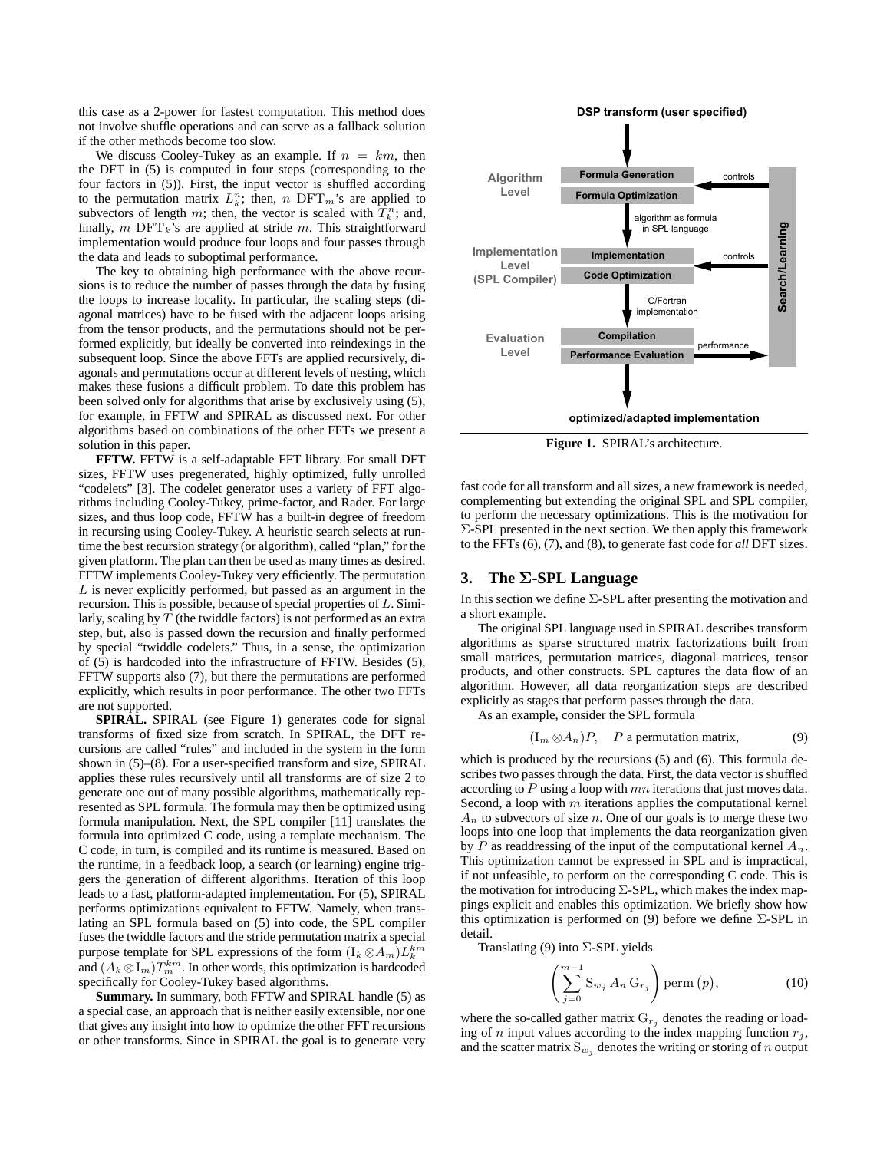this case as a 2-power for fastest computation. This method does not involve shuffle operations and can serve as a fallback solution if the other methods become too slow.

We discuss Cooley-Tukey as an example. If  $n = km$ , then the DFT in (5) is computed in four steps (corresponding to the four factors in (5)). First, the input vector is shuffled according to the permutation matrix  $L_k^n$ ; then, n DFT<sub>m</sub>'s are applied to subvectors of length m; then, the vector is scaled with  $\hat{T}_k^n$ ; and, finally,  $m$  DFT<sub>k</sub>'s are applied at stride  $m$ . This straightforward implementation would produce four loops and four passes through the data and leads to suboptimal performance.

The key to obtaining high performance with the above recursions is to reduce the number of passes through the data by fusing the loops to increase locality. In particular, the scaling steps (diagonal matrices) have to be fused with the adjacent loops arising from the tensor products, and the permutations should not be performed explicitly, but ideally be converted into reindexings in the subsequent loop. Since the above FFTs are applied recursively, diagonals and permutations occur at different levels of nesting, which makes these fusions a difficult problem. To date this problem has been solved only for algorithms that arise by exclusively using (5), for example, in FFTW and SPIRAL as discussed next. For other algorithms based on combinations of the other FFTs we present a solution in this paper.

**FFTW.** FFTW is a self-adaptable FFT library. For small DFT sizes, FFTW uses pregenerated, highly optimized, fully unrolled "codelets" [3]. The codelet generator uses a variety of FFT algorithms including Cooley-Tukey, prime-factor, and Rader. For large sizes, and thus loop code, FFTW has a built-in degree of freedom in recursing using Cooley-Tukey. A heuristic search selects at runtime the best recursion strategy (or algorithm), called "plan," for the given platform. The plan can then be used as many times as desired. FFTW implements Cooley-Tukey very efficiently. The permutation  $L$  is never explicitly performed, but passed as an argument in the recursion. This is possible, because of special properties of  $L$ . Similarly, scaling by  $T$  (the twiddle factors) is not performed as an extra step, but, also is passed down the recursion and finally performed by special "twiddle codelets." Thus, in a sense, the optimization of (5) is hardcoded into the infrastructure of FFTW. Besides (5), FFTW supports also (7), but there the permutations are performed explicitly, which results in poor performance. The other two FFTs are not supported.

**SPIRAL.** SPIRAL (see Figure 1) generates code for signal transforms of fixed size from scratch. In SPIRAL, the DFT recursions are called "rules" and included in the system in the form shown in (5)–(8). For a user-specified transform and size, SPIRAL applies these rules recursively until all transforms are of size 2 to generate one out of many possible algorithms, mathematically represented as SPL formula. The formula may then be optimized using formula manipulation. Next, the SPL compiler [11] translates the formula into optimized C code, using a template mechanism. The C code, in turn, is compiled and its runtime is measured. Based on the runtime, in a feedback loop, a search (or learning) engine triggers the generation of different algorithms. Iteration of this loop leads to a fast, platform-adapted implementation. For (5), SPIRAL performs optimizations equivalent to FFTW. Namely, when translating an SPL formula based on (5) into code, the SPL compiler fuses the twiddle factors and the stride permutation matrix a special purpose template for SPL expressions of the form  $(I_k \otimes A_m) L_k^{km}$ and  $(A_k \otimes I_m)T_m^{km}$ . In other words, this optimization is hardcoded specifically for Cooley-Tukey based algorithms.

**Summary.** In summary, both FFTW and SPIRAL handle (5) as a special case, an approach that is neither easily extensible, nor one that gives any insight into how to optimize the other FFT recursions or other transforms. Since in SPIRAL the goal is to generate very



**Figure 1.** SPIRAL's architecture.

fast code for all transform and all sizes, a new framework is needed, complementing but extending the original SPL and SPL compiler, to perform the necessary optimizations. This is the motivation for  $\Sigma$ -SPL presented in the next section. We then apply this framework to the FFTs (6), (7), and (8), to generate fast code for *all* DFT sizes.

## **3. The** Σ**-SPL Language**

In this section we define Σ-SPL after presenting the motivation and a short example.

The original SPL language used in SPIRAL describes transform algorithms as sparse structured matrix factorizations built from small matrices, permutation matrices, diagonal matrices, tensor products, and other constructs. SPL captures the data flow of an algorithm. However, all data reorganization steps are described explicitly as stages that perform passes through the data.

As an example, consider the SPL formula

$$
(I_m \otimes A_n)P
$$
, P a permutation matrix, (9)

which is produced by the recursions (5) and (6). This formula describes two passes through the data. First, the data vector is shuffled according to  $P$  using a loop with  $mn$  iterations that just moves data. Second, a loop with  $m$  iterations applies the computational kernel  $A_n$  to subvectors of size n. One of our goals is to merge these two loops into one loop that implements the data reorganization given by P as readdressing of the input of the computational kernel  $A_n$ . This optimization cannot be expressed in SPL and is impractical, if not unfeasible, to perform on the corresponding C code. This is the motivation for introducing  $\Sigma$ -SPL, which makes the index mappings explicit and enables this optimization. We briefly show how this optimization is performed on (9) before we define  $\Sigma$ -SPL in detail.

Translating (9) into Σ-SPL yields

$$
\left(\sum_{j=0}^{m-1} \mathbf{S}_{w_j} A_n \, \mathbf{G}_{r_j}\right) \text{perm}\left(p\right),\tag{10}
$$

where the so-called gather matrix  $G_{r_j}$  denotes the reading or loading of n input values according to the index mapping function  $r_j$ , and the scatter matrix  $S_{w_j}$  denotes the writing or storing of n output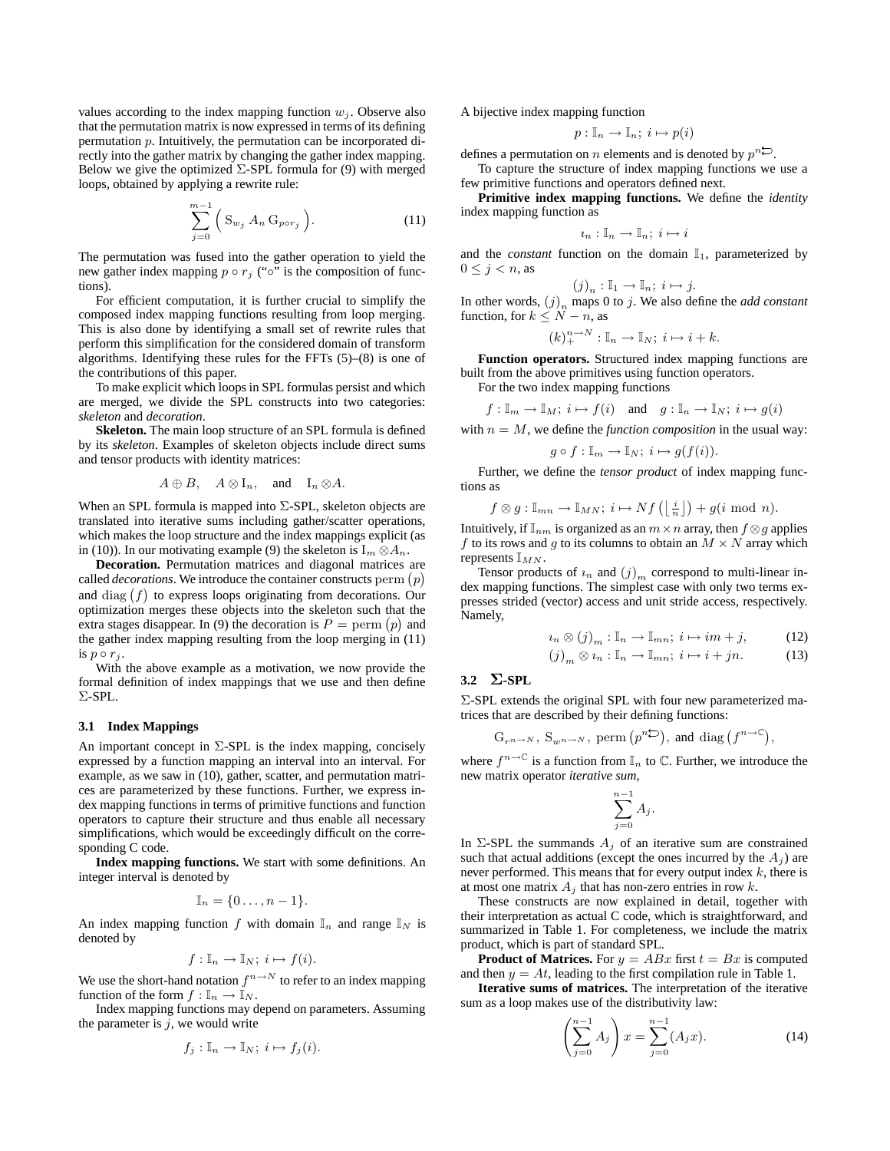values according to the index mapping function  $w_j$ . Observe also that the permutation matrix is now expressed in terms of its defining permutation p. Intuitively, the permutation can be incorporated directly into the gather matrix by changing the gather index mapping. Below we give the optimized  $\Sigma$ -SPL formula for (9) with merged loops, obtained by applying a rewrite rule:

$$
\sum_{j=0}^{m-1} \left( \mathbf{S}_{w_j} A_n \mathbf{G}_{p \circ r_j} \right). \tag{11}
$$

The permutation was fused into the gather operation to yield the new gather index mapping  $p \circ r_j$  (" $\circ$ " is the composition of functions).

For efficient computation, it is further crucial to simplify the composed index mapping functions resulting from loop merging. This is also done by identifying a small set of rewrite rules that perform this simplification for the considered domain of transform algorithms. Identifying these rules for the FFTs (5)–(8) is one of the contributions of this paper.

To make explicit which loops in SPL formulas persist and which are merged, we divide the SPL constructs into two categories: *skeleton* and *decoration*.

**Skeleton.** The main loop structure of an SPL formula is defined by its *skeleton*. Examples of skeleton objects include direct sums and tensor products with identity matrices:

$$
A \oplus B
$$
,  $A \otimes I_n$ , and  $I_n \otimes A$ .

When an SPL formula is mapped into  $\Sigma$ -SPL, skeleton objects are translated into iterative sums including gather/scatter operations, which makes the loop structure and the index mappings explicit (as in (10)). In our motivating example (9) the skeleton is  $I_m \otimes A_n$ .

**Decoration.** Permutation matrices and diagonal matrices are called *decorations*. We introduce the container constructs perm  $(p)$ and  $diag(f)$  to express loops originating from decorations. Our optimization merges these objects into the skeleton such that the extra stages disappear. In (9) the decoration is  $P = \text{perm}(p)$  and the gather index mapping resulting from the loop merging in (11) is  $p \circ r_j$ .

With the above example as a motivation, we now provide the formal definition of index mappings that we use and then define Σ-SPL.

## **3.1 Index Mappings**

An important concept in  $\Sigma$ -SPL is the index mapping, concisely expressed by a function mapping an interval into an interval. For example, as we saw in (10), gather, scatter, and permutation matrices are parameterized by these functions. Further, we express index mapping functions in terms of primitive functions and function operators to capture their structure and thus enable all necessary simplifications, which would be exceedingly difficult on the corresponding C code.

**Index mapping functions.** We start with some definitions. An integer interval is denoted by

$$
\mathbb{I}_n = \{0 \ldots, n-1\}.
$$

An index mapping function f with domain  $\mathbb{I}_n$  and range  $\mathbb{I}_N$  is denoted by

$$
f: \mathbb{I}_n \to \mathbb{I}_N; i \mapsto f(i).
$$

We use the short-hand notation  $f^{n \to N}$  to refer to an index mapping function of the form  $f : \mathbb{I}_n \to \mathbb{I}_N$ .

Index mapping functions may depend on parameters. Assuming the parameter is  $j$ , we would write

$$
f_j: \mathbb{I}_n \to \mathbb{I}_N; i \mapsto f_j(i).
$$

A bijective index mapping function

$$
p: \mathbb{I}_n \to \mathbb{I}_n; i \mapsto p(i)
$$

defines a permutation on *n* elements and is denoted by  $p^{n\bigcirc}$ .

To capture the structure of index mapping functions we use a few primitive functions and operators defined next.

**Primitive index mapping functions.** We define the *identity* index mapping function as

$$
i_n: \mathbb{I}_n \to \mathbb{I}_n; i \mapsto i
$$

and the *constant* function on the domain  $\mathbb{I}_1$ , parameterized by  $0 \leq j < n$ , as

$$
(j)_n: \mathbb{I}_1 \to \mathbb{I}_n; i \mapsto j.
$$

In other words,  $(j)_n$  maps 0 to j. We also define the *add constant* function, for  $k \leq N - n$ , as

$$
(k)_+^{n\to N}:\mathbb{I}_n\to\mathbb{I}_N;\ i\mapsto i+k.
$$

**Function operators.** Structured index mapping functions are built from the above primitives using function operators.

For the two index mapping functions

$$
f: \mathbb{I}_m \to \mathbb{I}_M; i \mapsto f(i) \text{ and } g: \mathbb{I}_n \to \mathbb{I}_N; i \mapsto g(i)
$$

with  $n = M$ , we define the *function composition* in the usual way:

$$
g \circ f: \mathbb{I}_m \to \mathbb{I}_N; i \mapsto g(f(i)).
$$

Further, we define the *tensor product* of index mapping functions as

$$
f \otimes g: \mathbb{I}_{mn} \to \mathbb{I}_{MN}; i \mapsto Nf\left(\left\lfloor \frac{i}{n} \right\rfloor\right) + g(i \mod n).
$$

Intuitively, if  $\mathbb{I}_{nm}$  is organized as an  $m \times n$  array, then  $f \otimes g$  applies f to its rows and g to its columns to obtain an  $M \times N$  array which represents  $\mathbb{I}_{MN}$ .

Tensor products of  $i_n$  and  $(j)_m$  correspond to multi-linear index mapping functions. The simplest case with only two terms expresses strided (vector) access and unit stride access, respectively. Namely,

$$
u_n \otimes (j)_m : \mathbb{I}_n \to \mathbb{I}_{mn}; i \mapsto im + j,
$$
 (12)

$$
(j)_m \otimes i_n : \mathbb{I}_n \to \mathbb{I}_{mn}; i \mapsto i + jn. \tag{13}
$$

# **3.2** Σ**-SPL**

Σ-SPL extends the original SPL with four new parameterized matrices that are described by their defining functions:

$$
G_{r^{n\to N}}
$$
,  $S_{w^{n\to N}}$ , perm  $(p^{n\sum})$ , and diag  $(f^{n\to\mathbb{C}})$ ,

where  $f^{n\to\mathbb{C}}$  is a function from  $\mathbb{I}_n$  to  $\mathbb{C}$ . Further, we introduce the new matrix operator *iterative sum*,

$$
\sum_{j=0}^{n-1} A_j.
$$

In  $\Sigma$ -SPL the summands  $A_i$  of an iterative sum are constrained such that actual additions (except the ones incurred by the  $A_i$ ) are never performed. This means that for every output index  $k$ , there is at most one matrix  $A_j$  that has non-zero entries in row k.

These constructs are now explained in detail, together with their interpretation as actual C code, which is straightforward, and summarized in Table 1. For completeness, we include the matrix product, which is part of standard SPL.

**Product of Matrices.** For  $y = ABx$  first  $t = Bx$  is computed and then  $y = At$ , leading to the first compilation rule in Table 1.

**Iterative sums of matrices.** The interpretation of the iterative sum as a loop makes use of the distributivity law:

$$
\left(\sum_{j=0}^{n-1} A_j\right) x = \sum_{j=0}^{n-1} (A_j x). \tag{14}
$$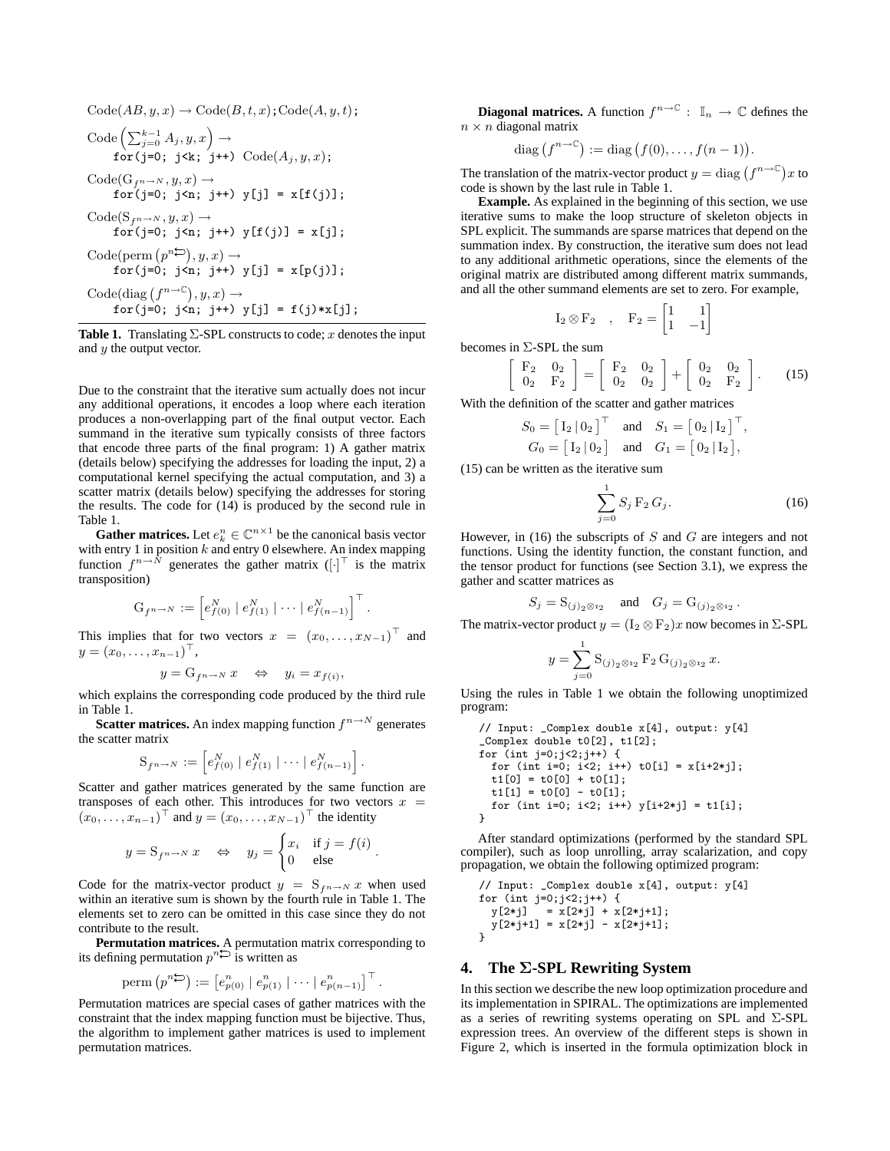$$
\begin{aligned}\n\text{Code}(AB, y, x) &\rightarrow \text{Code}(B, t, x); \text{Code}(A, y, t); \\
\text{Code}\left(\sum_{j=0}^{k-1} A_j, y, x\right) &\rightarrow \\
 &\quad \text{for}(j=0; j < k; j++) \text{Code}(A_j, y, x); \\
 &\quad \text{Code}(G_{fn\rightarrow N}, y, x) &\rightarrow \\
 &\quad \text{for}(j=0; j < n; j++) \text{ y}[j] = x[f(j)]; \\
 &\quad \text{Code}(S_{fn\rightarrow N}, y, x) &\rightarrow \\
 &\quad \text{for}(j=0; j < n; j++) \text{ y}[f(j)] = x[j]; \\
 &\quad \text{Code}(perm(p^{n\sum}), y, x) &\rightarrow \\
 &\quad \text{for}(j=0; j < n; j++) \text{ y}[j] = x[p(j)]; \\
 &\quad \text{Code}(diag(f^{n\rightarrow C}), y, x) &\rightarrow \\
 &\quad \text{for}(j=0; j < n; j++) \text{ y}[j] = f(j) * x[j];\n \end{aligned}
$$

**Table 1.** Translating  $\Sigma$ -SPL constructs to code; x denotes the input and  $y$  the output vector.

Due to the constraint that the iterative sum actually does not incur any additional operations, it encodes a loop where each iteration produces a non-overlapping part of the final output vector. Each summand in the iterative sum typically consists of three factors that encode three parts of the final program: 1) A gather matrix (details below) specifying the addresses for loading the input, 2) a computational kernel specifying the actual computation, and 3) a scatter matrix (details below) specifying the addresses for storing the results. The code for (14) is produced by the second rule in Table 1.

**Gather matrices.** Let  $e_k^n \in \mathbb{C}^{n \times 1}$  be the canonical basis vector with entry 1 in position  $k$  and entry 0 elsewhere. An index mapping function  $f^{n \to N}$  generates the gather matrix  $([\cdot]^\top$  is the matrix transposition)

$$
G_{f^{n\to N}} := \left[ e^N_{f(0)} \mid e^N_{f(1)} \mid \cdots \mid e^N_{f(n-1)} \right]^\top
$$

.

This implies that for two vectors  $x = (x_0, \dots, x_{N-1})^\top$  and  $y = (x_0, \ldots, x_{n-1})^{\top},$ 

$$
y = G_{f^{n \to N}} x \iff y_i = x_{f(i)},
$$

which explains the corresponding code produced by the third rule in Table 1.

**Scatter matrices.** An index mapping function  $f^{n \to N}$  generates the scatter matrix

$$
S_{f^{n\to N}} := \left[ e_{f(0)}^N \mid e_{f(1)}^N \mid \cdots \mid e_{f(n-1)}^N \right].
$$

Scatter and gather matrices generated by the same function are transposes of each other. This introduces for two vectors  $x =$  $(x_0, \ldots, x_{n-1})^{\top}$  and  $y = (x_0, \ldots, x_{N-1})^{\top}$  the identity

$$
y = S_{f^{n\to N}} x \Leftrightarrow y_j = \begin{cases} x_i & \text{if } j = f(i) \\ 0 & \text{else} \end{cases}.
$$

Code for the matrix-vector product  $y = S_{f^n \to N} x$  when used within an iterative sum is shown by the fourth rule in Table 1. The elements set to zero can be omitted in this case since they do not contribute to the result.

**Permutation matrices.** A permutation matrix corresponding to its defining permutation  $p^n \ominus$  is written as

perm
$$
(p^n \stackrel{\frown}{\rightarrow}) := [e_{p(0)}^n | e_{p(1)}^n | \cdots | e_{p(n-1)}^n]^{\top}.
$$

Permutation matrices are special cases of gather matrices with the constraint that the index mapping function must be bijective. Thus, the algorithm to implement gather matrices is used to implement permutation matrices.

**Diagonal matrices.** A function  $f^{n\to\mathbb{C}}$  :  $\mathbb{I}_n \to \mathbb{C}$  defines the  $n \times n$  diagonal matrix

diag 
$$
(f^{n\to\mathbb{C}})
$$
 := diag  $(f(0),..., f(n-1))$ .

The translation of the matrix-vector product  $y = \text{diag}(f^{n \to \mathbb{C}})x$  to code is shown by the last rule in Table 1.

**Example.** As explained in the beginning of this section, we use iterative sums to make the loop structure of skeleton objects in SPL explicit. The summands are sparse matrices that depend on the summation index. By construction, the iterative sum does not lead to any additional arithmetic operations, since the elements of the original matrix are distributed among different matrix summands, and all the other summand elements are set to zero. For example,

$$
I_2 \otimes F_2 \quad , \quad F_2 = \begin{bmatrix} 1 & 1 \\ 1 & -1 \end{bmatrix}
$$

becomes in  $\Sigma$ -SPL the sum

$$
\left[\begin{array}{cc} F_2 & 0_2 \\ 0_2 & F_2 \end{array}\right] = \left[\begin{array}{cc} F_2 & 0_2 \\ 0_2 & 0_2 \end{array}\right] + \left[\begin{array}{cc} 0_2 & 0_2 \\ 0_2 & F_2 \end{array}\right].
$$
 (15)

With the definition of the scatter and gather matrices

$$
S_0 = \begin{bmatrix} I_2 | 0_2 \end{bmatrix}^\top \quad \text{and} \quad S_1 = \begin{bmatrix} 0_2 | I_2 \end{bmatrix}^\top
$$
  

$$
G_0 = \begin{bmatrix} I_2 | 0_2 \end{bmatrix} \quad \text{and} \quad G_1 = \begin{bmatrix} 0_2 | I_2 \end{bmatrix},
$$

(15) can be written as the iterative sum

$$
\sum_{j=0}^{1} S_j \, \mathbf{F}_2 \, G_j. \tag{16}
$$

,

However, in (16) the subscripts of  $S$  and  $G$  are integers and not functions. Using the identity function, the constant function, and the tensor product for functions (see Section 3.1), we express the gather and scatter matrices as

$$
S_j = \mathrm{S}_{(j)_2 \otimes i_2} \quad \text{ and } \quad G_j = \mathrm{G}_{(j)_2 \otimes i_2} \, .
$$

The matrix-vector product  $y = (I_2 \otimes F_2)x$  now becomes in  $\Sigma$ -SPL

$$
y = \sum_{j=0}^{1} \mathbf{S}_{(j)_2 \otimes i_2} \mathbf{F}_2 \mathbf{G}_{(j)_2 \otimes i_2} x.
$$

Using the rules in Table 1 we obtain the following unoptimized program:

```
// Input: _Complex double x[4], output: y[4]
_Complex double t0[2], t1[2];
for (int j=0; j<2; j++) {
  for (int i=0; i<2; i++) t0[i] = x[i+2+j];t1[0] = t0[0] + t0[1];t1[1] = t0[0] - t0[1];for (int i=0; i<2; i++) y[i+2*j] = t1[i];
}
```
After standard optimizations (performed by the standard SPL compiler), such as loop unrolling, array scalarization, and copy propagation, we obtain the following optimized program:

```
// Input: _Complex double x[4], output: y[4]
for (int j=0;j<2;j++) {
  y[2 * j] = x[2 * j] + x[2 * j + 1];y[2*j+1] = x[2*j] - x[2*j+1];}
```
# **4. The** Σ**-SPL Rewriting System**

In thissection we describe the new loop optimization procedure and its implementation in SPIRAL. The optimizations are implemented as a series of rewriting systems operating on SPL and Σ-SPL expression trees. An overview of the different steps is shown in Figure 2, which is inserted in the formula optimization block in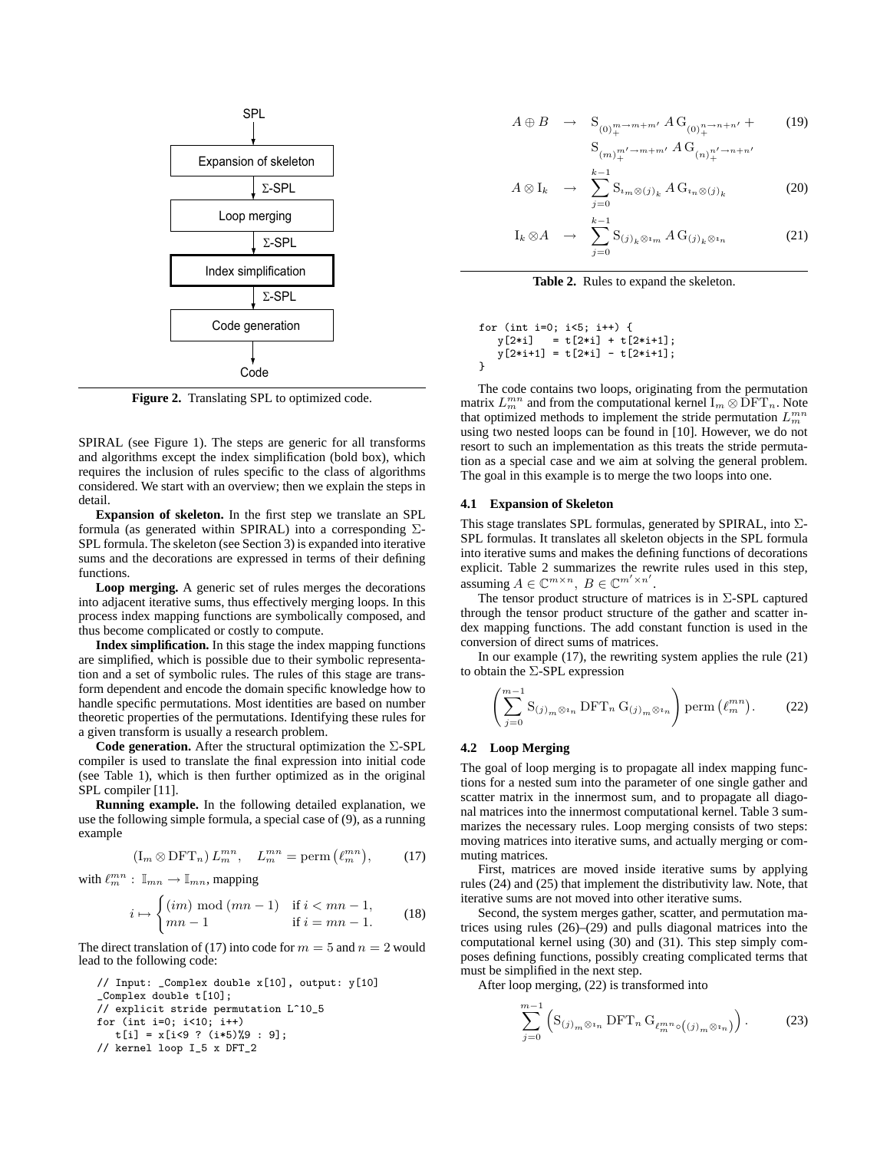

**Figure 2.** Translating SPL to optimized code.

SPIRAL (see Figure 1). The steps are generic for all transforms and algorithms except the index simplification (bold box), which requires the inclusion of rules specific to the class of algorithms considered. We start with an overview; then we explain the steps in detail.

**Expansion of skeleton.** In the first step we translate an SPL formula (as generated within SPIRAL) into a corresponding  $\Sigma$ -SPL formula. The skeleton (see Section 3) is expanded into iterative sums and the decorations are expressed in terms of their defining functions.

**Loop merging.** A generic set of rules merges the decorations into adjacent iterative sums, thus effectively merging loops. In this process index mapping functions are symbolically composed, and thus become complicated or costly to compute.

**Index simplification.** In this stage the index mapping functions are simplified, which is possible due to their symbolic representation and a set of symbolic rules. The rules of this stage are transform dependent and encode the domain specific knowledge how to handle specific permutations. Most identities are based on number theoretic properties of the permutations. Identifying these rules for a given transform is usually a research problem.

**Code generation.** After the structural optimization the Σ-SPL compiler is used to translate the final expression into initial code (see Table 1), which is then further optimized as in the original SPL compiler [11].

**Running example.** In the following detailed explanation, we use the following simple formula, a special case of (9), as a running example

$$
(\mathbf{I}_m \otimes \mathbf{DFT}_n) L_m^{mn}, \quad L_m^{mn} = \text{perm}\left(\ell_m^{mn}\right),\tag{17}
$$

with  $\ell_m^{mn}: \mathbb{I}_{mn} \to \mathbb{I}_{mn}$ , mapping

$$
i \mapsto \begin{cases} (im) \mod (mn-1) & \text{if } i < mn-1, \\ mn-1 & \text{if } i = mn-1. \end{cases}
$$
 (18)

The direct translation of (17) into code for  $m = 5$  and  $n = 2$  would lead to the following code:

```
// Input: _Complex double x[10], output: y[10]
_Complex double t[10];
// explicit stride permutation L^10_5
for (int i=0; i<10; i++)
   t[i] = x[i(9 ? (i * 5) \% 9 : 9];// kernel loop I_5 x DFT_2
```

$$
A \oplus B \rightarrow \mathcal{S}_{(0)_{+}^{m-m+m'}} A \mathcal{G}_{(0)_{+}^{n-n+n'}} +
$$
  
\n
$$
\mathcal{S}_{(m)_{+}^{m'-m+m'}} A \mathcal{G}_{(n)_{+}^{n'-m+n'}}
$$
  
\n
$$
k-1
$$
 (19)

$$
A \otimes I_k \quad \to \quad \sum_{j=0}^{k-1} \mathcal{S}_{i_m \otimes (j)_k} A \, \mathcal{G}_{i_n \otimes (j)_k} \tag{20}
$$

$$
I_k \otimes A \quad \to \quad \sum_{j=0}^{k-1} S_{(j)_k \otimes i_m} A G_{(j)_k \otimes i_n} \tag{21}
$$

**Table 2.** Rules to expand the skeleton.

for (int i=0; i<5; i++) { y[2\*i] = t[2\*i] + t[2\*i+1]; y[2\*i+1] = t[2\*i] - t[2\*i+1]; }

The code contains two loops, originating from the permutation matrix  $L_m^{mn}$  and from the computational kernel  $\text{I}_m \otimes \text{DFT}_n$ . Note that optimized methods to implement the stride permutation  $L_m^{mn}$ using two nested loops can be found in [10]. However, we do not resort to such an implementation as this treats the stride permutation as a special case and we aim at solving the general problem. The goal in this example is to merge the two loops into one.

# **4.1 Expansion of Skeleton**

This stage translates SPL formulas, generated by SPIRAL, into Σ-SPL formulas. It translates all skeleton objects in the SPL formula into iterative sums and makes the defining functions of decorations explicit. Table 2 summarizes the rewrite rules used in this step, assuming  $A \in \mathbb{C}^{m \times n}$ ,  $B \in \mathbb{C}^{m' \times n'}$ .

The tensor product structure of matrices is in  $\Sigma$ -SPL captured through the tensor product structure of the gather and scatter index mapping functions. The add constant function is used in the conversion of direct sums of matrices.

In our example (17), the rewriting system applies the rule (21) to obtain the Σ-SPL expression

$$
\left(\sum_{j=0}^{m-1} \mathcal{S}_{(j)_m \otimes i_n} \mathbf{DFT}_n \mathcal{G}_{(j)_m \otimes i_n}\right) \text{perm}\left(\ell_m^{mn}\right). \tag{22}
$$

# **4.2 Loop Merging**

The goal of loop merging is to propagate all index mapping functions for a nested sum into the parameter of one single gather and scatter matrix in the innermost sum, and to propagate all diagonal matrices into the innermost computational kernel. Table 3 summarizes the necessary rules. Loop merging consists of two steps: moving matrices into iterative sums, and actually merging or commuting matrices.

First, matrices are moved inside iterative sums by applying rules (24) and (25) that implement the distributivity law. Note, that iterative sums are not moved into other iterative sums.

Second, the system merges gather, scatter, and permutation matrices using rules (26)–(29) and pulls diagonal matrices into the computational kernel using (30) and (31). This step simply composes defining functions, possibly creating complicated terms that must be simplified in the next step.

After loop merging, (22) is transformed into

$$
\sum_{j=0}^{m-1} \left( \mathbf{S}_{(j)_m \otimes i_n} \, \text{DFT}_n \, \mathbf{G}_{\ell_m^{mn} \circ ((j)_m \otimes i_n)} \right). \tag{23}
$$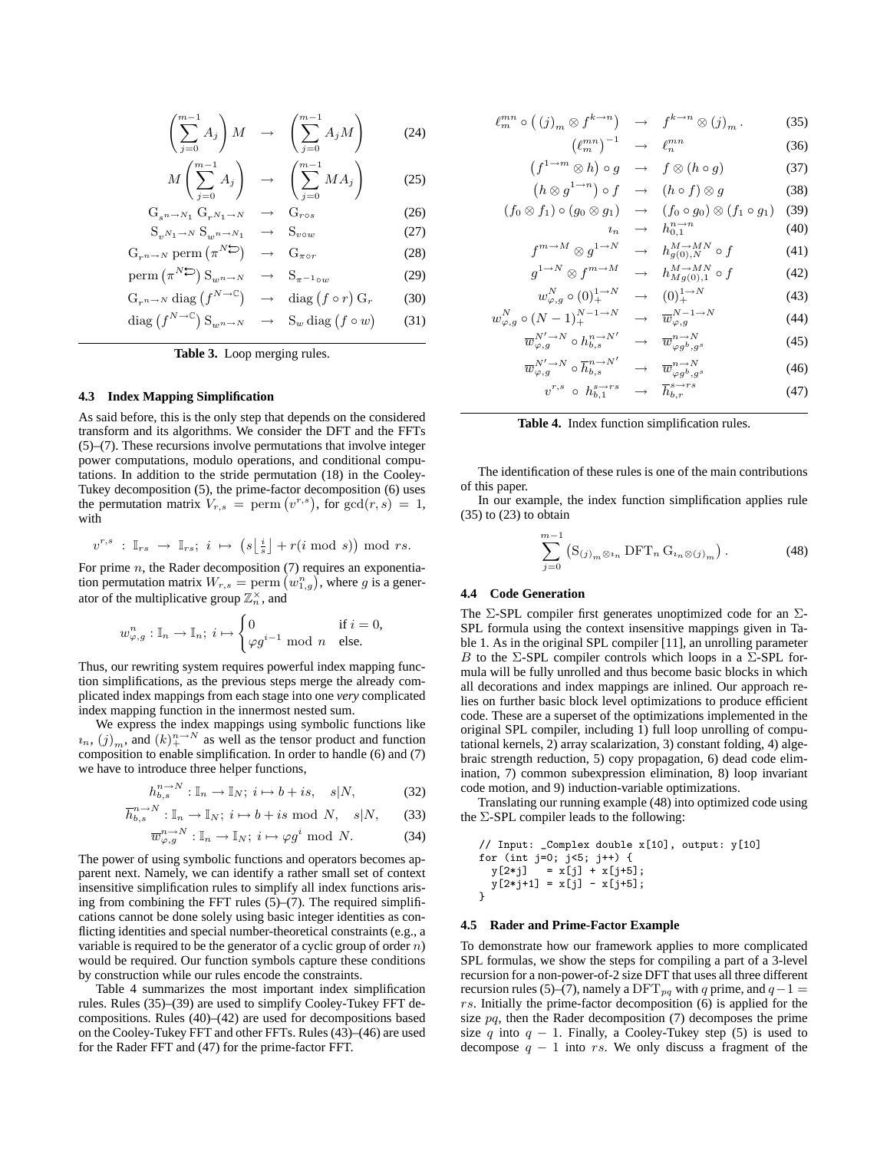$$
\left(\sum_{j=0}^{m-1} A_j\right) M \rightarrow \left(\sum_{j=0}^{m-1} A_j M\right) \tag{24}
$$

$$
M\left(\sum_{j=0}^{m-1} A_j\right) \rightarrow \left(\sum_{j=0}^{m-1} MA_j\right) \tag{25}
$$

$$
G_{s^{n} \to N_1} G_{r^{N_1} \to N} \to G_{r \circ s}
$$
\n
$$
S_{v^{N_1} \to N} S_{w^{n} \to N_1} \to S_{v \circ w}
$$
\n(26)

 $G_{r^{n\to N}}$  perm  $(\pi^{N\sum})$  $G_{\pi \circ r}$  (28)

$$
\text{erm}\left(\pi^{N\sum}\right) \mathbf{S}_{w^{n\rightarrow N}} \quad \rightarrow \quad \mathbf{S}_{\pi^{-1}\circ w} \tag{29}
$$

$$
G_{r^{n}\to N} \operatorname{diag} (f^{N\to \mathbb{C}}) \to \operatorname{diag} (f \circ r) G_r \qquad (30)
$$
  

$$
\operatorname{diag} (f^{N\to \mathbb{C}}) S_{w^{n}\to N} \to S_w \operatorname{diag} (f \circ w) \qquad (31)
$$

**Table 3.** Loop merging rules.

#### **4.3 Index Mapping Simplification**

p

As said before, this is the only step that depends on the considered transform and its algorithms. We consider the DFT and the FFTs (5)–(7). These recursions involve permutations that involve integer power computations, modulo operations, and conditional computations. In addition to the stride permutation (18) in the Cooley-Tukey decomposition (5), the prime-factor decomposition (6) uses the permutation matrix  $V_{r,s}$  = perm  $(v^{r,s})$ , for  $gcd(r,s) = 1$ , with

$$
v^{r,s}\;:\; \mathbb{I}_{rs}\;\rightarrow \;\mathbb{I}_{rs};\; i\;\mapsto\; \left(s\big\lfloor \tfrac{i}{s}\big\rfloor + r(i \bmod\; s)\right) \bmod\; rs.
$$

For prime  $n$ , the Rader decomposition  $(7)$  requires an exponentiation permutation matrix  $W_{r,s} = \text{perm}(w_{1,g}^n)$ , where g is a generator of the multiplicative group  $\mathbb{Z}_n^{\times}$ , and

$$
w_{\varphi,g}^n: \mathbb{I}_n \to \mathbb{I}_n; \ i \mapsto \begin{cases} 0 & \text{if } i = 0, \\ \varphi g^{i-1} \text{ mod } n & \text{else.} \end{cases}
$$

Thus, our rewriting system requires powerful index mapping function simplifications, as the previous steps merge the already complicated index mappings from each stage into one *very* complicated index mapping function in the innermost nested sum.

We express the index mappings using symbolic functions like  $u_n$ ,  $(j)_m$ , and  $(k)_+^{n \to N}$  as well as the tensor product and function composition to enable simplification. In order to handle (6) and (7) we have to introduce three helper functions,

$$
h_{b,s}^{n \to N} : \mathbb{I}_n \to \mathbb{I}_N; \ i \mapsto b + is, \quad s|N, \tag{32}
$$

$$
\overline{h}_{b,s}^{n \to N} : \mathbb{I}_n \to \mathbb{I}_N; i \mapsto b + is \text{ mod } N, \quad s|N, \tag{33}
$$

$$
\overline{w}^{n \to N}_{\varphi, g} : \mathbb{I}_n \to \mathbb{I}_N; \ i \mapsto \varphi g^i \text{ mod } N. \tag{34}
$$

The power of using symbolic functions and operators becomes apparent next. Namely, we can identify a rather small set of context insensitive simplification rules to simplify all index functions arising from combining the FFT rules  $(5)$ – $(7)$ . The required simplifications cannot be done solely using basic integer identities as conflicting identities and special number-theoretical constraints (e.g., a variable is required to be the generator of a cyclic group of order  $n$ ) would be required. Our function symbols capture these conditions by construction while our rules encode the constraints.

Table 4 summarizes the most important index simplification rules. Rules (35)–(39) are used to simplify Cooley-Tukey FFT decompositions. Rules (40)–(42) are used for decompositions based on the Cooley-Tukey FFT and other FFTs. Rules (43)–(46) are used for the Rader FFT and (47) for the prime-factor FFT.

$$
\ell_m^{mn} \circ ((j)_m \otimes f^{k \to n}) \rightarrow f^{k \to n} \otimes (j)_m.
$$
 (35)  

$$
(\ell_m^{mn})^{-1} \rightarrow \ell_n^{mn}
$$
 (36)

$$
\begin{aligned}\n(\ell_m^{mn})^{-1} &\to \ell_n^{mn} \\
\vdots \\
\ell^{n-m} \otimes h) \circ g &\to f \otimes (h \circ g)\n\end{aligned} \tag{36}
$$

$$
(f^{1 \to m} \otimes h) \circ g \quad \to \quad f \otimes (h \circ g) \tag{37}
$$

$$
(h \otimes g^{1 \to n}) \circ f \quad \to \quad (h \circ f) \otimes g \tag{38}
$$

$$
(f_0 \otimes f_1) \circ (g_0 \otimes g_1) \rightarrow (f_0 \circ g_0) \otimes (f_1 \circ g_1) \quad (39)
$$

$$
t_n \rightarrow h_{0,1}^{n,n} \qquad (40)
$$
  

$$
f^{m \to M} \otimes g^{1 \to N} \rightarrow h_{g(0),N}^{M \to MN} \circ f \qquad (41)
$$

$$
g^{1 \to N} \otimes f^{m \to M} \longrightarrow h^{M \to MN}_{Mg(0),1} \circ f
$$
  
\n
$$
w^{N}_{\varphi,g} \circ (0)_{+}^{1 \to N} \longrightarrow (0)_{+}^{1 \to N}
$$
\n(42)

$$
w_{\varphi,g}^N \circ (0)_+^{1\to N} \to (0)_+^{1\to N}
$$
 (43)  

$$
w_{\varphi,g}^N \circ (N-1)_+^{N-1\to N} \to \overline{w}_{\varphi,g}^{N-1\to N}
$$
 (44)

$$
\overline{w}_{\varphi,g}^{N' \to N} \circ h_{b,s}^{n \to N'} \to \overline{w}_{\varphi g}^{n \to N} \quad (45)
$$
\n
$$
\overline{w}_{\varphi,g}^{N' \to N} \circ \overline{h}_{b,s}^{n \to N'} \to \overline{w}_{\varphi g}^{n \to N} \quad (46)
$$
\n
$$
v^{r,s} \circ h_{b,s}^{s \to rs} \to \overline{h}_{b,s}^{n \to rs} \quad (47)
$$

 $(47)$ 

$$
v^{r,s} \circ h_{b,1}^{s \to rs} \rightarrow \overline{h}_{b,r}^{s \to rs}
$$

**Table 4.** Index function simplification rules.

The identification of these rules is one of the main contributions of this paper.

In our example, the index function simplification applies rule  $(35)$  to  $(23)$  to obtain

$$
\sum_{j=0}^{m-1} \left( \mathbf{S}_{(j)_m \otimes i_n} \, \text{DFT}_n \, \mathbf{G}_{i_n \otimes (j)_m} \right). \tag{48}
$$

#### **4.4 Code Generation**

The  $\Sigma$ -SPL compiler first generates unoptimized code for an  $\Sigma$ -SPL formula using the context insensitive mappings given in Table 1. As in the original SPL compiler [11], an unrolling parameter B to the  $\Sigma$ -SPL compiler controls which loops in a  $\Sigma$ -SPL formula will be fully unrolled and thus become basic blocks in which all decorations and index mappings are inlined. Our approach relies on further basic block level optimizations to produce efficient code. These are a superset of the optimizations implemented in the original SPL compiler, including 1) full loop unrolling of computational kernels, 2) array scalarization, 3) constant folding, 4) algebraic strength reduction, 5) copy propagation, 6) dead code elimination, 7) common subexpression elimination, 8) loop invariant code motion, and 9) induction-variable optimizations.

Translating our running example (48) into optimized code using the  $\Sigma$ -SPL compiler leads to the following:

// Input: \_Complex double x[10], output: y[10] for (int j=0; j<5; j++) { y[2\*j] = x[j] + x[j+5]; y[2\*j+1] = x[j] - x[j+5]; }

#### **4.5 Rader and Prime-Factor Example**

To demonstrate how our framework applies to more complicated SPL formulas, we show the steps for compiling a part of a 3-level recursion for a non-power-of-2 size DFT that uses all three different recursion rules (5)–(7), namely a DFT<sub>pq</sub> with q prime, and  $q-1 =$ rs. Initially the prime-factor decomposition (6) is applied for the size  $pq$ , then the Rader decomposition  $(7)$  decomposes the prime size q into  $q - 1$ . Finally, a Cooley-Tukey step (5) is used to decompose  $q - 1$  into rs. We only discuss a fragment of the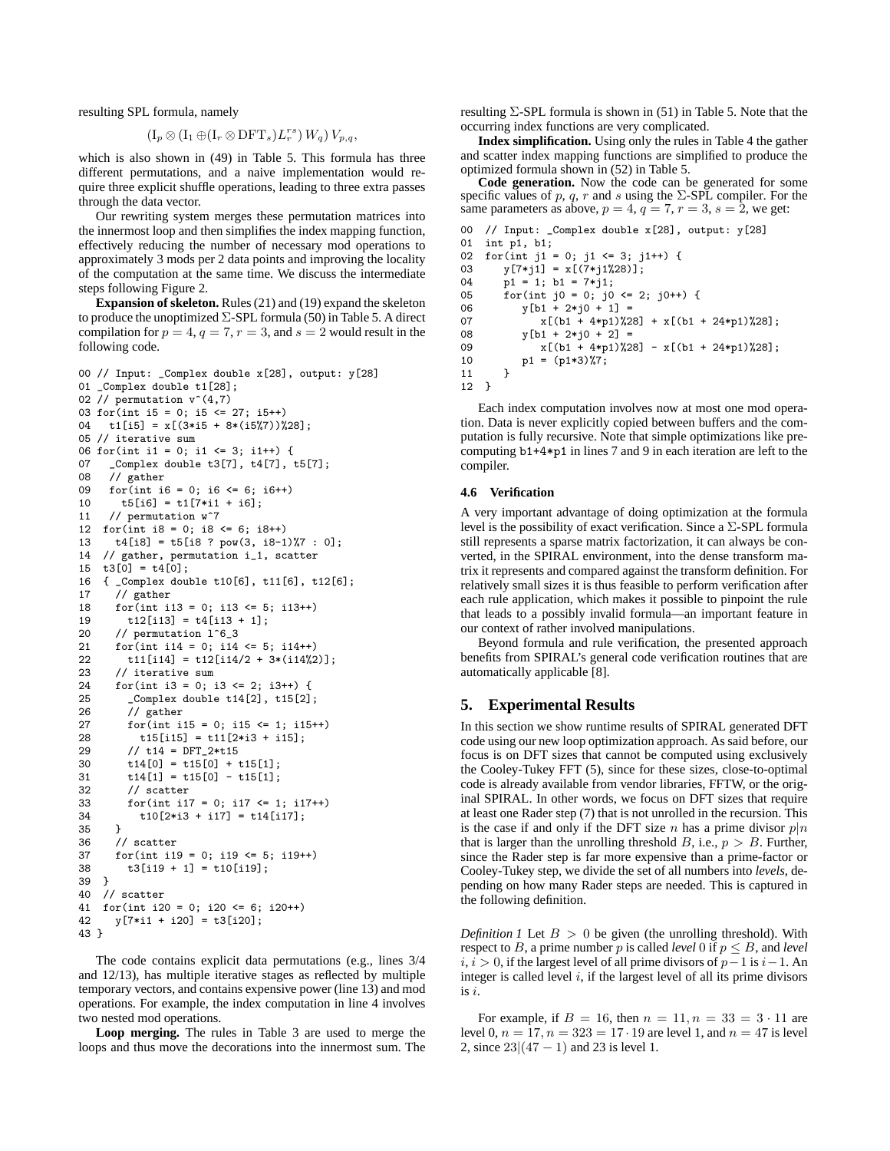resulting SPL formula, namely

$$
(\mathrm{I}_p\otimes (\mathrm{I}_1\oplus (\mathrm{I}_r\otimes \mathrm{DFT}_s)L_r^{rs})\,W_q)\,V_{p,q},
$$

which is also shown in (49) in Table 5. This formula has three different permutations, and a naive implementation would require three explicit shuffle operations, leading to three extra passes through the data vector.

Our rewriting system merges these permutation matrices into the innermost loop and then simplifies the index mapping function, effectively reducing the number of necessary mod operations to approximately 3 mods per 2 data points and improving the locality of the computation at the same time. We discuss the intermediate steps following Figure 2.

**Expansion of skeleton.** Rules (21) and (19) expand the skeleton to produce the unoptimized Σ-SPL formula (50) in Table 5. A direct compilation for  $p = 4$ ,  $q = 7$ ,  $r = 3$ , and  $s = 2$  would result in the following code.

```
00 // Input: _Complex double x[28], output: y[28]
01 _Complex double t1[28];
02 // permutation v^*(4,7)03 for(int i5 = 0; i5 <= 27; i5++)
04 t1[i5] = x[(3*is + 8*(is\%)\%28];05 // iterative sum
06 for(int i1 = 0; i1 <= 3; i1++) {<br>07 Complex double t3[7], t4[7], 1
07 _Complex double t3[7], t4[7], t5[7];<br>08 // gather
     // gather
09 for(int i6 = 0; i6 <= 6; i6++)
10 t5[i6] = t1[7*11 + i6];11 // permutation w^7
12 for(int i8 = 0; i8 <= 6; i8++)
13 t4[i8] = t5[i8 ? pow(3, i8-1)%7 : 0];
14 // gather, permutation i_1, scatter
15 \quad t3[0] = t4[0];16 { _Complex double t10[6], t11[6], t12[6];
17 // gather
18 for(int i13 = 0; i13 <= 5; i13++)
19 t12[i13] = t4[i13 + 1];20 // permutation l^6_3
21 for(int i14 = 0; i14 <= 5; i14++)
22 t11[i14] = t12[i14/2 + 3*(i14%2)];23 // iterative sum
24 for(int i3 = 0; i3 <= 2; i3++) {
         \text{\_Complex double t14[2], t15[2];}26 // gather<br>27 for(int_i)
27 for(int i15 = 0; i15 <= 1; i15++)<br>
28 t15[i15] = t11[2*i3 + i15];
28 t15[i15] = t11[2*i3 + i15];<br>29 // t14 = DFT 2*t15
29 \frac{1}{14} = \text{DFT}_2 * t15<br>30 t14[0] = t15[0] + tt14[0] = t15[0] + t15[1];31 t14[1] = t15[0] - t15[1];32 // scatter
33 for(int i17 = 0; i17 <= 1; i17++)
34 t10[2*13 + i17] = t14[i17];<br>35 }
35 }
36 // scatter
37 for(int i19 = 0; i19 <= 5; i19++)
38 t3[i19 + 1] = t10[i19];
39 }
40 // scatter
41 for(int i20 = 0; i20 <= 6; i20++)
42 y[7*i1 + i20] = t3[i20];
43 }
```
The code contains explicit data permutations (e.g., lines 3/4 and 12/13), has multiple iterative stages as reflected by multiple temporary vectors, and contains expensive power (line 13) and mod operations. For example, the index computation in line 4 involves two nested mod operations.

**Loop merging.** The rules in Table 3 are used to merge the loops and thus move the decorations into the innermost sum. The resulting  $\Sigma$ -SPL formula is shown in (51) in Table 5. Note that the occurring index functions are very complicated.

**Index simplification.** Using only the rules in Table 4 the gather and scatter index mapping functions are simplified to produce the optimized formula shown in (52) in Table 5.

**Code generation.** Now the code can be generated for some specific values of p, q, r and s using the  $\Sigma$ -SPL compiler. For the same parameters as above,  $p = 4$ ,  $q = 7$ ,  $r = 3$ ,  $s = 2$ , we get:

```
// Input: _Complex double x[28], output: y[28]
01 int p1, b1;<br>02 for(int i1:
02 for(int j1 = 0; j1 <= 3; j1++) {
       y[7 * j1] = x[(7 * j1%28)];04 p1 = 1; b1 = 7*j1;
05 for(int j0 = 0; j0 \le 2; j0++) {
06 y[b1 + 2*j0 + 1] =
07 x[(b1 + 4*p1)\%28] + x[(b1 + 24*p1)\%28];<br>08 x[b1 + 2*n0 + 2] =y[b1 + 2*j0 + 2] =09 x[(b1 + 4*p1)\%28] - x[(b1 + 24*p1)\%28];10 p1 = (p1*3)\%7;<br>11 }
11 }
12 }
```
Each index computation involves now at most one mod operation. Data is never explicitly copied between buffers and the computation is fully recursive. Note that simple optimizations like precomputing b1+4\*p1 in lines 7 and 9 in each iteration are left to the compiler.

#### **4.6 Verification**

A very important advantage of doing optimization at the formula level is the possibility of exact verification. Since a  $\Sigma$ -SPL formula still represents a sparse matrix factorization, it can always be converted, in the SPIRAL environment, into the dense transform matrix it represents and compared against the transform definition. For relatively small sizes it is thus feasible to perform verification after each rule application, which makes it possible to pinpoint the rule that leads to a possibly invalid formula—an important feature in our context of rather involved manipulations.

Beyond formula and rule verification, the presented approach benefits from SPIRAL's general code verification routines that are automatically applicable [8].

## **5. Experimental Results**

In this section we show runtime results of SPIRAL generated DFT code using our new loop optimization approach. As said before, our focus is on DFT sizes that cannot be computed using exclusively the Cooley-Tukey FFT (5), since for these sizes, close-to-optimal code is already available from vendor libraries, FFTW, or the original SPIRAL. In other words, we focus on DFT sizes that require at least one Rader step (7) that is not unrolled in the recursion. This is the case if and only if the DFT size n has a prime divisor  $p|n$ that is larger than the unrolling threshold  $B$ , i.e.,  $p > B$ . Further, since the Rader step is far more expensive than a prime-factor or Cooley-Tukey step, we divide the set of all numbers into *levels*, depending on how many Rader steps are needed. This is captured in the following definition.

*Definition 1* Let  $B > 0$  be given (the unrolling threshold). With respect to B, a prime number p is called *level* 0 if  $p \leq B$ , and *level*  $i, i > 0$ , if the largest level of all prime divisors of  $p-1$  is  $i-1$ . An integer is called level  $i$ , if the largest level of all its prime divisors is i.

For example, if  $B = 16$ , then  $n = 11, n = 33 = 3 \cdot 11$  are level 0,  $n = 17$ ,  $n = 323 = 17 \cdot 19$  are level 1, and  $n = 47$  is level 2, since  $23|(47-1)$  and 23 is level 1.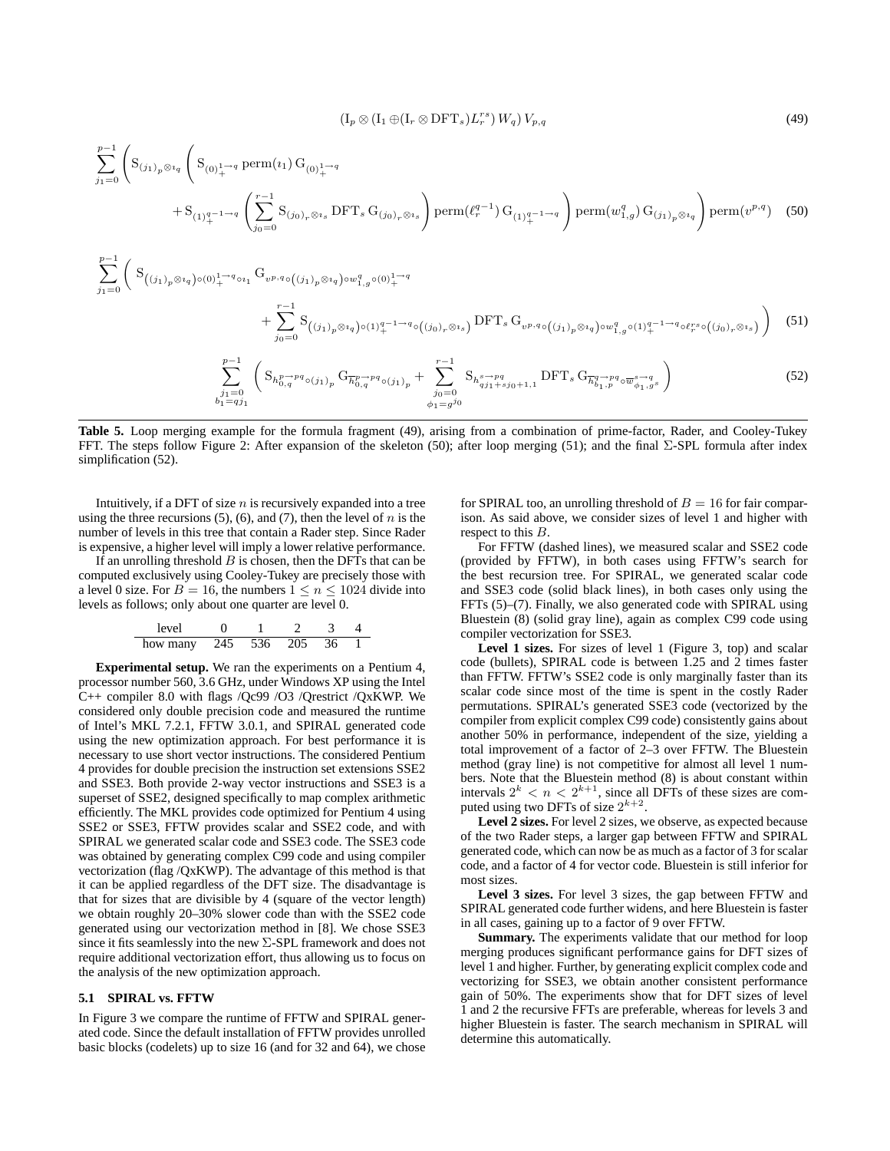$$
(\mathrm{I}_p \otimes (\mathrm{I}_1 \oplus (\mathrm{I}_r \otimes \mathrm{DFT}_s)L_r^{rs}) W_q) V_{p,q} \tag{49}
$$

$$
\sum_{j_1=0}^{p-1} \left( S_{(j_1)_p \otimes i_q} \left( S_{(0)_+^{1\to q}} \operatorname{perm}(i_1) G_{(0)_+^{1\to q}} \right) \right) \operatorname{perm}(\ell_r^{q-1}) G_{(1)_+^{q-1\to q}} \right) \operatorname{perm}(w_{1,g}^q) G_{(j_1)_p \otimes i_q} \operatorname{perm}(v^{p,q}) \quad (50)
$$

$$
\sum_{j_1=0}^{p-1} \left( S_{((j_1)_p \otimes i_q) \circ (0)_+^{1 \to q} \circ i_1} G_{v^{p,q} \circ ((j_1)_p \otimes i_q) \circ w^q_{1,g} \circ (0)_+^{1 \to q}} + \sum_{j_0=0}^{r-1} S_{((j_1)_p \otimes i_q) \circ (1)_+^{q-1 \to q} \circ ((j_0)_r \otimes i_s)} \text{DFT}_s G_{v^{p,q} \circ ((j_1)_p \otimes i_q) \circ w^q_{1,g} \circ (1)_+^{q-1 \to q} \circ \ell_r^{rs} \circ ((j_0)_r \otimes i_s)} \right)
$$
(51)

$$
\sum_{\substack{j_1=0\\b_1=qj_1}}^{p-1} \left( S_{h_{0,q}^{p\to pq} \circ (j_1)_p} G_{\overline{h}_{0,q}^{p\to pq} \circ (j_1)_p} + \sum_{\substack{j_0=0\\ \phi_1=gj_0}}^{r-1} S_{h_{qj_1}^{s\to pq} + j_0+1,1} \text{DFT}_s G_{\overline{h}_{b_1,p}^{q\to pq} \circ \overline{w}_{\phi_1,g}^{s\to q}} \right)
$$
(52)

**Table 5.** Loop merging example for the formula fragment (49), arising from a combination of prime-factor, Rader, and Cooley-Tukey FFT. The steps follow Figure 2: After expansion of the skeleton (50); after loop merging (51); and the final Σ-SPL formula after index simplification (52).

Intuitively, if a DFT of size  $n$  is recursively expanded into a tree using the three recursions  $(5)$ ,  $(6)$ , and  $(7)$ , then the level of n is the number of levels in this tree that contain a Rader step. Since Rader is expensive, a higher level will imply a lower relative performance.

If an unrolling threshold  $B$  is chosen, then the DFTs that can be computed exclusively using Cooley-Tukey are precisely those with a level 0 size. For  $B = 16$ , the numbers  $1 \le n \le 1024$  divide into levels as follows; only about one quarter are level 0.

level 0 1 2 3 4 how many 245 536 205 36 1

**Experimental setup.** We ran the experiments on a Pentium 4, processor number 560, 3.6 GHz, under Windows XP using the Intel C++ compiler 8.0 with flags /Qc99 /O3 /Qrestrict /QxKWP. We considered only double precision code and measured the runtime of Intel's MKL 7.2.1, FFTW 3.0.1, and SPIRAL generated code using the new optimization approach. For best performance it is necessary to use short vector instructions. The considered Pentium 4 provides for double precision the instruction set extensions SSE2 and SSE3. Both provide 2-way vector instructions and SSE3 is a superset of SSE2, designed specifically to map complex arithmetic efficiently. The MKL provides code optimized for Pentium 4 using SSE2 or SSE3, FFTW provides scalar and SSE2 code, and with SPIRAL we generated scalar code and SSE3 code. The SSE3 code was obtained by generating complex C99 code and using compiler vectorization (flag /QxKWP). The advantage of this method is that it can be applied regardless of the DFT size. The disadvantage is that for sizes that are divisible by 4 (square of the vector length) we obtain roughly 20–30% slower code than with the SSE2 code generated using our vectorization method in [8]. We chose SSE3 since it fits seamlessly into the new Σ-SPL framework and does not require additional vectorization effort, thus allowing us to focus on the analysis of the new optimization approach.

#### **5.1 SPIRAL vs. FFTW**

In Figure 3 we compare the runtime of FFTW and SPIRAL generated code. Since the default installation of FFTW provides unrolled basic blocks (codelets) up to size 16 (and for 32 and 64), we chose

for SPIRAL too, an unrolling threshold of  $B = 16$  for fair comparison. As said above, we consider sizes of level 1 and higher with respect to this B.

For FFTW (dashed lines), we measured scalar and SSE2 code (provided by FFTW), in both cases using FFTW's search for the best recursion tree. For SPIRAL, we generated scalar code and SSE3 code (solid black lines), in both cases only using the FFTs (5)–(7). Finally, we also generated code with SPIRAL using Bluestein (8) (solid gray line), again as complex C99 code using compiler vectorization for SSE3.

**Level 1 sizes.** For sizes of level 1 (Figure 3, top) and scalar code (bullets), SPIRAL code is between 1.25 and 2 times faster than FFTW. FFTW's SSE2 code is only marginally faster than its scalar code since most of the time is spent in the costly Rader permutations. SPIRAL's generated SSE3 code (vectorized by the compiler from explicit complex C99 code) consistently gains about another 50% in performance, independent of the size, yielding a total improvement of a factor of 2–3 over FFTW. The Bluestein method (gray line) is not competitive for almost all level 1 numbers. Note that the Bluestein method (8) is about constant within intervals  $2^k < n < 2^{k+1}$ , since all DFTs of these sizes are computed using two DFTs of size  $2^{k+2}$ .

**Level 2 sizes.** For level 2 sizes, we observe, as expected because of the two Rader steps, a larger gap between FFTW and SPIRAL generated code, which can now be as much as a factor of 3 forscalar code, and a factor of 4 for vector code. Bluestein is still inferior for most sizes.

**Level 3 sizes.** For level 3 sizes, the gap between FFTW and SPIRAL generated code further widens, and here Bluestein is faster in all cases, gaining up to a factor of 9 over FFTW.

**Summary.** The experiments validate that our method for loop merging produces significant performance gains for DFT sizes of level 1 and higher. Further, by generating explicit complex code and vectorizing for SSE3, we obtain another consistent performance gain of 50%. The experiments show that for DFT sizes of level 1 and 2 the recursive FFTs are preferable, whereas for levels 3 and higher Bluestein is faster. The search mechanism in SPIRAL will determine this automatically.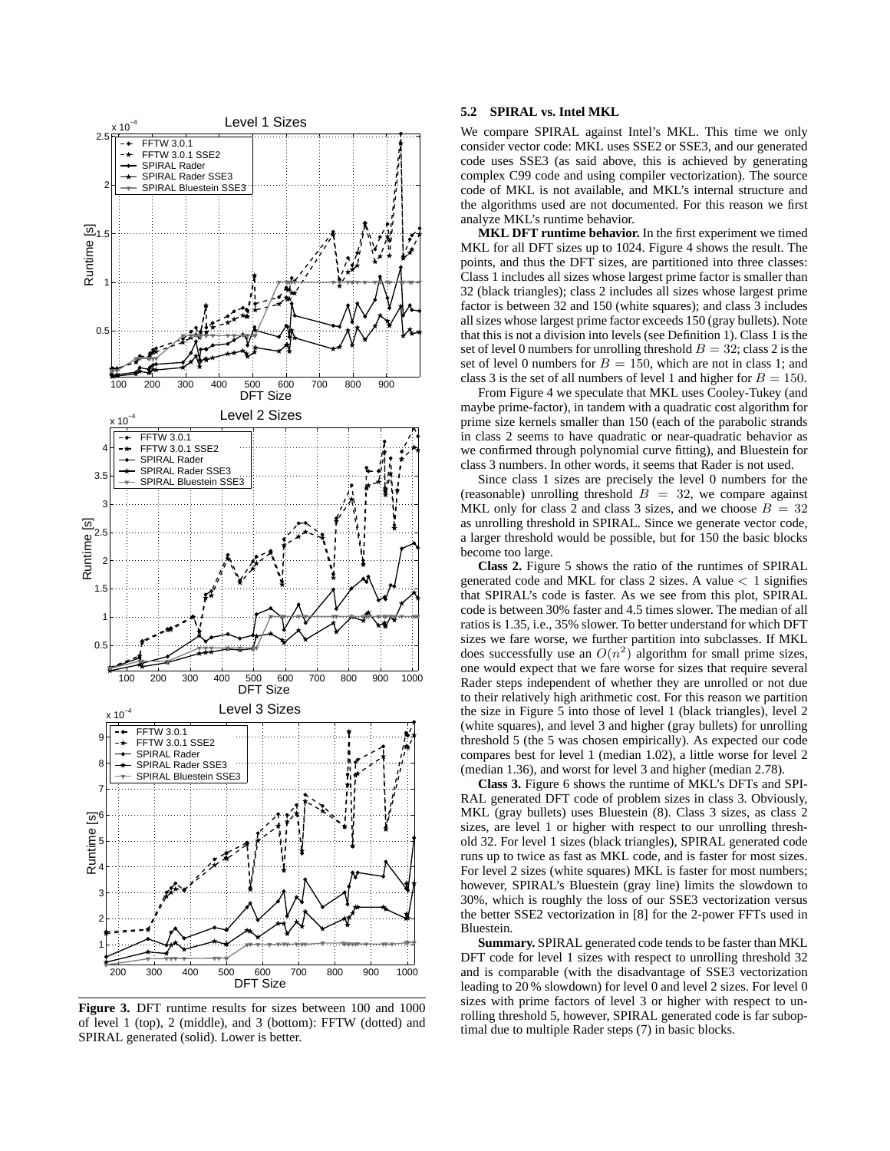

**Figure 3.** DFT runtime results for sizes between 100 and 1000 of level 1 (top), 2 (middle), and 3 (bottom): FFTW (dotted) and SPIRAL generated (solid). Lower is better.

# **5.2 SPIRAL vs. Intel MKL**

We compare SPIRAL against Intel's MKL. This time we only consider vector code: MKL uses SSE2 or SSE3, and our generated code uses SSE3 (as said above, this is achieved by generating complex C99 code and using compiler vectorization). The source code of MKL is not available, and MKL's internal structure and the algorithms used are not documented. For this reason we first analyze MKL's runtime behavior.

**MKL DFT runtime behavior.** In the first experiment we timed MKL for all DFT sizes up to 1024. Figure 4 shows the result. The points, and thus the DFT sizes, are partitioned into three classes: Class 1 includes all sizes whose largest prime factor is smaller than 32 (black triangles); class 2 includes all sizes whose largest prime factor is between 32 and 150 (white squares); and class 3 includes allsizes whose largest prime factor exceeds 150 (gray bullets). Note that this is not a division into levels (see Definition 1). Class 1 is the set of level 0 numbers for unrolling threshold  $B = 32$ ; class 2 is the set of level 0 numbers for  $B = 150$ , which are not in class 1; and class 3 is the set of all numbers of level 1 and higher for  $B = 150$ .

From Figure 4 we speculate that MKL uses Cooley-Tukey (and maybe prime-factor), in tandem with a quadratic cost algorithm for prime size kernels smaller than 150 (each of the parabolic strands in class 2 seems to have quadratic or near-quadratic behavior as we confirmed through polynomial curve fitting), and Bluestein for class 3 numbers. In other words, it seems that Rader is not used.

Since class 1 sizes are precisely the level 0 numbers for the (reasonable) unrolling threshold  $B = 32$ , we compare against MKL only for class 2 and class 3 sizes, and we choose  $B = 32$ as unrolling threshold in SPIRAL. Since we generate vector code, a larger threshold would be possible, but for 150 the basic blocks become too large.

**Class 2.** Figure 5 shows the ratio of the runtimes of SPIRAL generated code and MKL for class 2 sizes. A value < 1 signifies that SPIRAL's code is faster. As we see from this plot, SPIRAL code is between 30% faster and 4.5 times slower. The median of all ratios is 1.35, i.e., 35% slower. To better understand for which DFT sizes we fare worse, we further partition into subclasses. If MKL does successfully use an  $O(n^2)$  algorithm for small prime sizes, one would expect that we fare worse for sizes that require several Rader steps independent of whether they are unrolled or not due to their relatively high arithmetic cost. For this reason we partition the size in Figure 5 into those of level 1 (black triangles), level 2 (white squares), and level 3 and higher (gray bullets) for unrolling threshold 5 (the 5 was chosen empirically). As expected our code compares best for level 1 (median 1.02), a little worse for level 2 (median 1.36), and worst for level 3 and higher (median 2.78).

**Class 3.** Figure 6 shows the runtime of MKL's DFTs and SPI-RAL generated DFT code of problem sizes in class 3. Obviously, MKL (gray bullets) uses Bluestein (8). Class 3 sizes, as class 2 sizes, are level 1 or higher with respect to our unrolling threshold 32. For level 1 sizes (black triangles), SPIRAL generated code runs up to twice as fast as MKL code, and is faster for most sizes. For level 2 sizes (white squares) MKL is faster for most numbers; however, SPIRAL's Bluestein (gray line) limits the slowdown to 30%, which is roughly the loss of our SSE3 vectorization versus the better SSE2 vectorization in [8] for the 2-power FFTs used in Bluestein.

Summary. SPIRAL generated code tends to be faster than MKL DFT code for level 1 sizes with respect to unrolling threshold 32 and is comparable (with the disadvantage of SSE3 vectorization leading to 20 % slowdown) for level 0 and level 2 sizes. For level 0 sizes with prime factors of level 3 or higher with respect to unrolling threshold 5, however, SPIRAL generated code is far suboptimal due to multiple Rader steps (7) in basic blocks.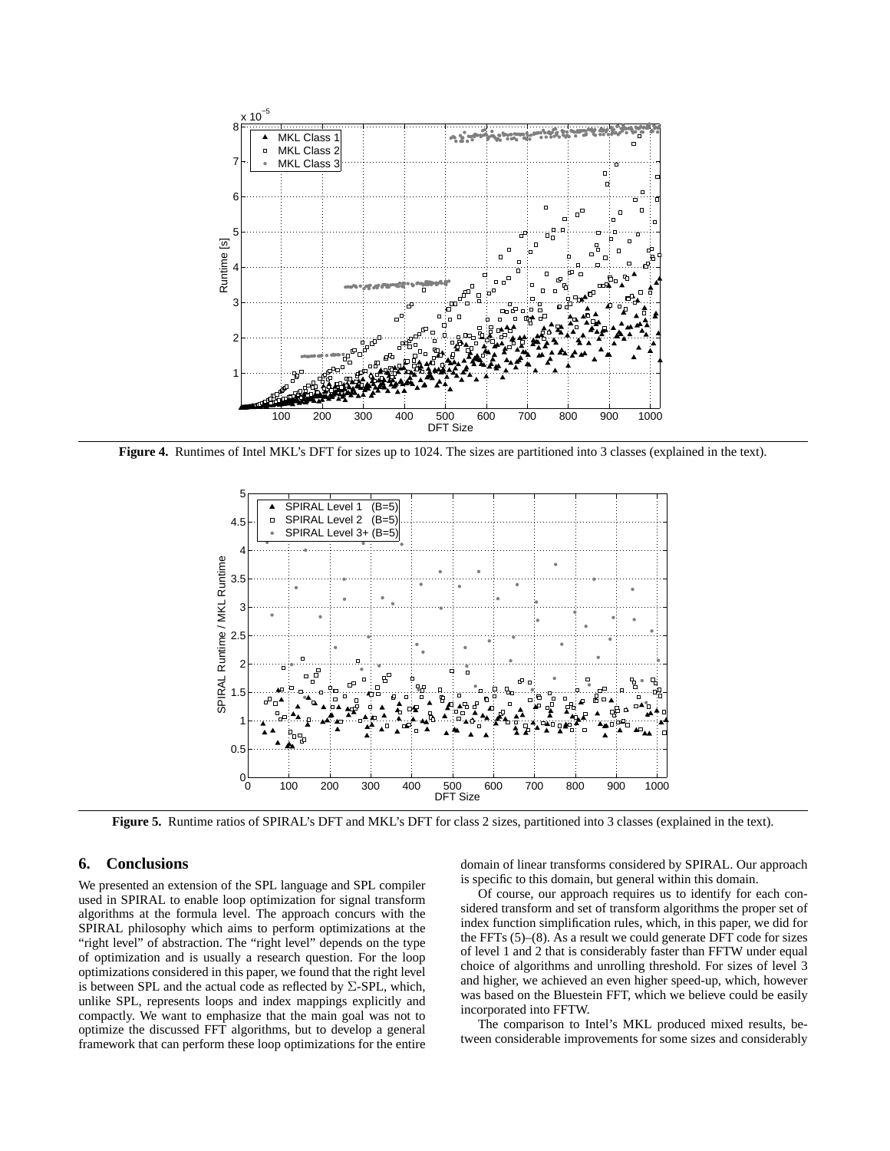

**Figure 4.** Runtimes of Intel MKL's DFT for sizes up to 1024. The sizes are partitioned into 3 classes (explained in the text).



**Figure 5.** Runtime ratios of SPIRAL's DFT and MKL's DFT for class 2 sizes, partitioned into 3 classes (explained in the text).

# **6. Conclusions**

We presented an extension of the SPL language and SPL compiler used in SPIRAL to enable loop optimization for signal transform algorithms at the formula level. The approach concurs with the SPIRAL philosophy which aims to perform optimizations at the "right level" of abstraction. The "right level" depends on the type of optimization and is usually a research question. For the loop optimizations considered in this paper, we found that the right level is between SPL and the actual code as reflected by  $\Sigma$ -SPL, which, unlike SPL, represents loops and index mappings explicitly and compactly. We want to emphasize that the main goal was not to optimize the discussed FFT algorithms, but to develop a general framework that can perform these loop optimizations for the entire domain of linear transforms considered by SPIRAL. Our approach is specific to this domain, but general within this domain.

Of course, our approach requires us to identify for each considered transform and set of transform algorithms the proper set of index function simplification rules, which, in this paper, we did for the FFTs (5)–(8). As a result we could generate DFT code for sizes of level 1 and 2 that is considerably faster than FFTW under equal choice of algorithms and unrolling threshold. For sizes of level 3 and higher, we achieved an even higher speed-up, which, however was based on the Bluestein FFT, which we believe could be easily incorporated into FFTW.

The comparison to Intel's MKL produced mixed results, between considerable improvements for some sizes and considerably